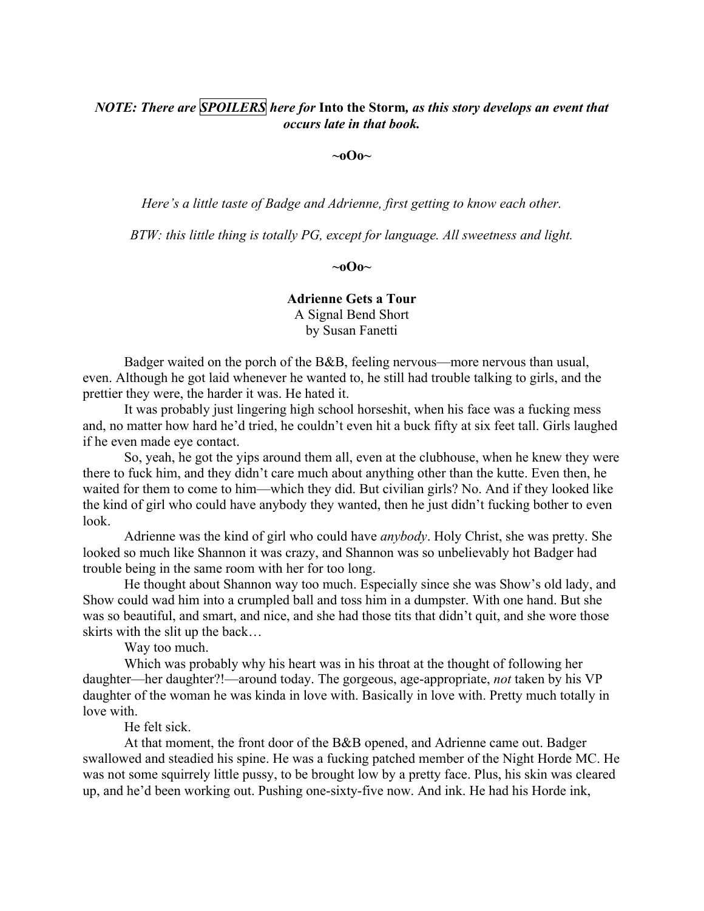## *NOTE: There are SPOILERS here for* **Into the Storm***, as this story develops an event that occurs late in that book.*

**~oOo~**

*Here's a little taste of Badge and Adrienne, first getting to know each other.*

*BTW: this little thing is totally PG, except for language. All sweetness and light.* 

**~oOo~**

**Adrienne Gets a Tour** A Signal Bend Short by Susan Fanetti

Badger waited on the porch of the B&B, feeling nervous—more nervous than usual, even. Although he got laid whenever he wanted to, he still had trouble talking to girls, and the prettier they were, the harder it was. He hated it.

It was probably just lingering high school horseshit, when his face was a fucking mess and, no matter how hard he'd tried, he couldn't even hit a buck fifty at six feet tall. Girls laughed if he even made eye contact.

So, yeah, he got the yips around them all, even at the clubhouse, when he knew they were there to fuck him, and they didn't care much about anything other than the kutte. Even then, he waited for them to come to him—which they did. But civilian girls? No. And if they looked like the kind of girl who could have anybody they wanted, then he just didn't fucking bother to even look.

Adrienne was the kind of girl who could have *anybody*. Holy Christ, she was pretty. She looked so much like Shannon it was crazy, and Shannon was so unbelievably hot Badger had trouble being in the same room with her for too long.

He thought about Shannon way too much. Especially since she was Show's old lady, and Show could wad him into a crumpled ball and toss him in a dumpster. With one hand. But she was so beautiful, and smart, and nice, and she had those tits that didn't quit, and she wore those skirts with the slit up the back…

Way too much.

Which was probably why his heart was in his throat at the thought of following her daughter—her daughter?!—around today. The gorgeous, age-appropriate, *not* taken by his VP daughter of the woman he was kinda in love with. Basically in love with. Pretty much totally in love with.

He felt sick.

At that moment, the front door of the B&B opened, and Adrienne came out. Badger swallowed and steadied his spine. He was a fucking patched member of the Night Horde MC. He was not some squirrely little pussy, to be brought low by a pretty face. Plus, his skin was cleared up, and he'd been working out. Pushing one-sixty-five now. And ink. He had his Horde ink,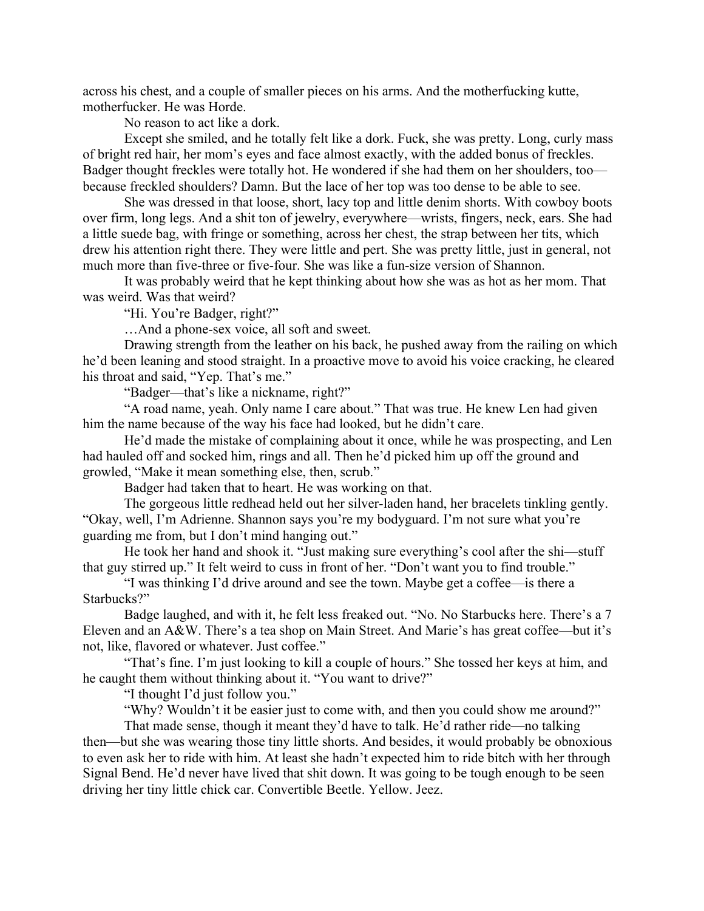across his chest, and a couple of smaller pieces on his arms. And the motherfucking kutte, motherfucker. He was Horde.

No reason to act like a dork.

Except she smiled, and he totally felt like a dork. Fuck, she was pretty. Long, curly mass of bright red hair, her mom's eyes and face almost exactly, with the added bonus of freckles. Badger thought freckles were totally hot. He wondered if she had them on her shoulders, too because freckled shoulders? Damn. But the lace of her top was too dense to be able to see.

She was dressed in that loose, short, lacy top and little denim shorts. With cowboy boots over firm, long legs. And a shit ton of jewelry, everywhere—wrists, fingers, neck, ears. She had a little suede bag, with fringe or something, across her chest, the strap between her tits, which drew his attention right there. They were little and pert. She was pretty little, just in general, not much more than five-three or five-four. She was like a fun-size version of Shannon.

It was probably weird that he kept thinking about how she was as hot as her mom. That was weird. Was that weird?

"Hi. You're Badger, right?"

…And a phone-sex voice, all soft and sweet.

Drawing strength from the leather on his back, he pushed away from the railing on which he'd been leaning and stood straight. In a proactive move to avoid his voice cracking, he cleared his throat and said, "Yep. That's me."

"Badger—that's like a nickname, right?"

"A road name, yeah. Only name I care about." That was true. He knew Len had given him the name because of the way his face had looked, but he didn't care.

He'd made the mistake of complaining about it once, while he was prospecting, and Len had hauled off and socked him, rings and all. Then he'd picked him up off the ground and growled, "Make it mean something else, then, scrub."

Badger had taken that to heart. He was working on that.

The gorgeous little redhead held out her silver-laden hand, her bracelets tinkling gently. "Okay, well, I'm Adrienne. Shannon says you're my bodyguard. I'm not sure what you're guarding me from, but I don't mind hanging out."

He took her hand and shook it. "Just making sure everything's cool after the shi—stuff that guy stirred up." It felt weird to cuss in front of her. "Don't want you to find trouble."

"I was thinking I'd drive around and see the town. Maybe get a coffee—is there a Starbucks?"

Badge laughed, and with it, he felt less freaked out. "No. No Starbucks here. There's a 7 Eleven and an A&W. There's a tea shop on Main Street. And Marie's has great coffee—but it's not, like, flavored or whatever. Just coffee."

"That's fine. I'm just looking to kill a couple of hours." She tossed her keys at him, and he caught them without thinking about it. "You want to drive?"

"I thought I'd just follow you."

"Why? Wouldn't it be easier just to come with, and then you could show me around?"

That made sense, though it meant they'd have to talk. He'd rather ride—no talking then—but she was wearing those tiny little shorts. And besides, it would probably be obnoxious to even ask her to ride with him. At least she hadn't expected him to ride bitch with her through Signal Bend. He'd never have lived that shit down. It was going to be tough enough to be seen driving her tiny little chick car. Convertible Beetle. Yellow. Jeez.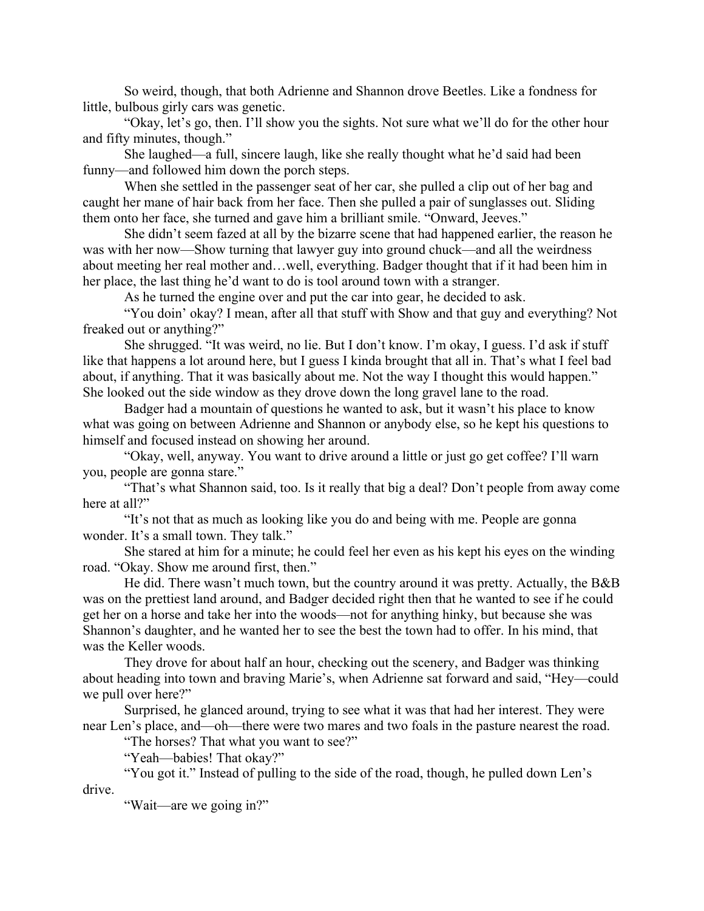So weird, though, that both Adrienne and Shannon drove Beetles. Like a fondness for little, bulbous girly cars was genetic.

"Okay, let's go, then. I'll show you the sights. Not sure what we'll do for the other hour and fifty minutes, though."

She laughed—a full, sincere laugh, like she really thought what he'd said had been funny—and followed him down the porch steps.

When she settled in the passenger seat of her car, she pulled a clip out of her bag and caught her mane of hair back from her face. Then she pulled a pair of sunglasses out. Sliding them onto her face, she turned and gave him a brilliant smile. "Onward, Jeeves."

She didn't seem fazed at all by the bizarre scene that had happened earlier, the reason he was with her now—Show turning that lawyer guy into ground chuck—and all the weirdness about meeting her real mother and…well, everything. Badger thought that if it had been him in her place, the last thing he'd want to do is tool around town with a stranger.

As he turned the engine over and put the car into gear, he decided to ask.

"You doin' okay? I mean, after all that stuff with Show and that guy and everything? Not freaked out or anything?"

She shrugged. "It was weird, no lie. But I don't know. I'm okay, I guess. I'd ask if stuff like that happens a lot around here, but I guess I kinda brought that all in. That's what I feel bad about, if anything. That it was basically about me. Not the way I thought this would happen." She looked out the side window as they drove down the long gravel lane to the road.

Badger had a mountain of questions he wanted to ask, but it wasn't his place to know what was going on between Adrienne and Shannon or anybody else, so he kept his questions to himself and focused instead on showing her around.

"Okay, well, anyway. You want to drive around a little or just go get coffee? I'll warn you, people are gonna stare."

"That's what Shannon said, too. Is it really that big a deal? Don't people from away come here at all?"

"It's not that as much as looking like you do and being with me. People are gonna wonder. It's a small town. They talk."

She stared at him for a minute; he could feel her even as his kept his eyes on the winding road. "Okay. Show me around first, then."

He did. There wasn't much town, but the country around it was pretty. Actually, the B&B was on the prettiest land around, and Badger decided right then that he wanted to see if he could get her on a horse and take her into the woods—not for anything hinky, but because she was Shannon's daughter, and he wanted her to see the best the town had to offer. In his mind, that was the Keller woods.

They drove for about half an hour, checking out the scenery, and Badger was thinking about heading into town and braving Marie's, when Adrienne sat forward and said, "Hey—could we pull over here?"

Surprised, he glanced around, trying to see what it was that had her interest. They were near Len's place, and—oh—there were two mares and two foals in the pasture nearest the road.

"The horses? That what you want to see?"

"Yeah—babies! That okay?"

"You got it." Instead of pulling to the side of the road, though, he pulled down Len's drive.

"Wait—are we going in?"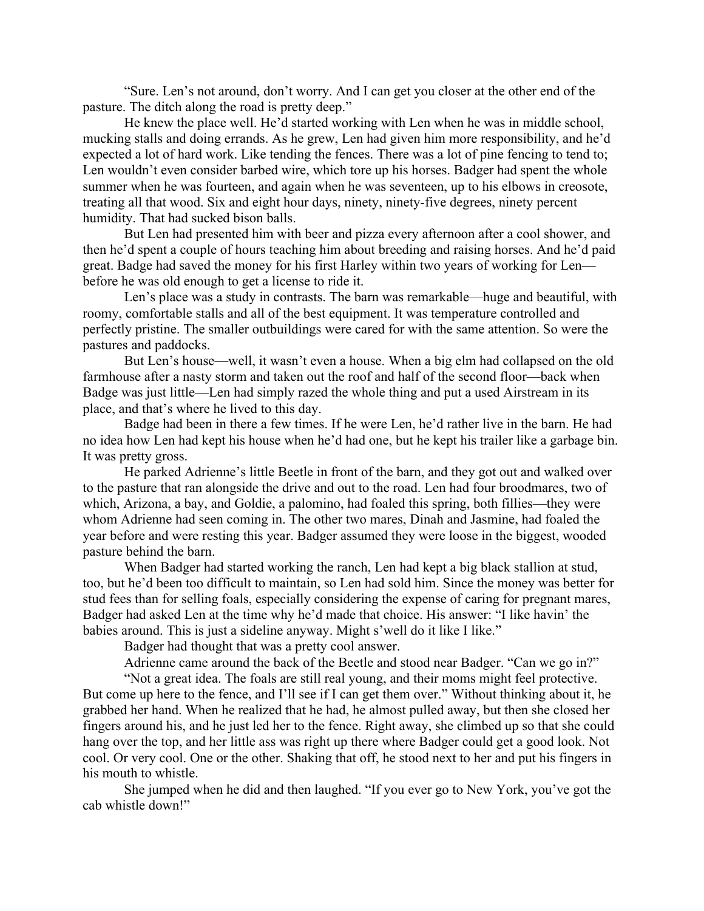"Sure. Len's not around, don't worry. And I can get you closer at the other end of the pasture. The ditch along the road is pretty deep."

He knew the place well. He'd started working with Len when he was in middle school, mucking stalls and doing errands. As he grew, Len had given him more responsibility, and he'd expected a lot of hard work. Like tending the fences. There was a lot of pine fencing to tend to; Len wouldn't even consider barbed wire, which tore up his horses. Badger had spent the whole summer when he was fourteen, and again when he was seventeen, up to his elbows in creosote, treating all that wood. Six and eight hour days, ninety, ninety-five degrees, ninety percent humidity. That had sucked bison balls.

But Len had presented him with beer and pizza every afternoon after a cool shower, and then he'd spent a couple of hours teaching him about breeding and raising horses. And he'd paid great. Badge had saved the money for his first Harley within two years of working for Len before he was old enough to get a license to ride it.

Len's place was a study in contrasts. The barn was remarkable—huge and beautiful, with roomy, comfortable stalls and all of the best equipment. It was temperature controlled and perfectly pristine. The smaller outbuildings were cared for with the same attention. So were the pastures and paddocks.

But Len's house—well, it wasn't even a house. When a big elm had collapsed on the old farmhouse after a nasty storm and taken out the roof and half of the second floor—back when Badge was just little—Len had simply razed the whole thing and put a used Airstream in its place, and that's where he lived to this day.

Badge had been in there a few times. If he were Len, he'd rather live in the barn. He had no idea how Len had kept his house when he'd had one, but he kept his trailer like a garbage bin. It was pretty gross.

He parked Adrienne's little Beetle in front of the barn, and they got out and walked over to the pasture that ran alongside the drive and out to the road. Len had four broodmares, two of which, Arizona, a bay, and Goldie, a palomino, had foaled this spring, both fillies—they were whom Adrienne had seen coming in. The other two mares, Dinah and Jasmine, had foaled the year before and were resting this year. Badger assumed they were loose in the biggest, wooded pasture behind the barn.

When Badger had started working the ranch, Len had kept a big black stallion at stud, too, but he'd been too difficult to maintain, so Len had sold him. Since the money was better for stud fees than for selling foals, especially considering the expense of caring for pregnant mares, Badger had asked Len at the time why he'd made that choice. His answer: "I like havin' the babies around. This is just a sideline anyway. Might s'well do it like I like."

Badger had thought that was a pretty cool answer.

Adrienne came around the back of the Beetle and stood near Badger. "Can we go in?"

"Not a great idea. The foals are still real young, and their moms might feel protective. But come up here to the fence, and I'll see if I can get them over." Without thinking about it, he grabbed her hand. When he realized that he had, he almost pulled away, but then she closed her fingers around his, and he just led her to the fence. Right away, she climbed up so that she could hang over the top, and her little ass was right up there where Badger could get a good look. Not cool. Or very cool. One or the other. Shaking that off, he stood next to her and put his fingers in his mouth to whistle.

She jumped when he did and then laughed. "If you ever go to New York, you've got the cab whistle down!"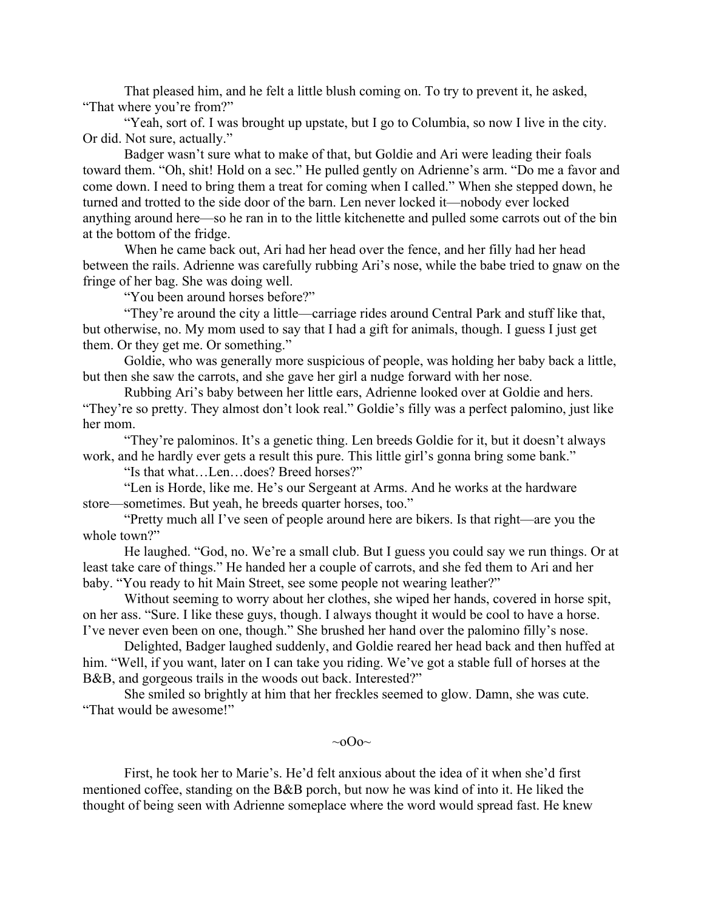That pleased him, and he felt a little blush coming on. To try to prevent it, he asked, "That where you're from?"

"Yeah, sort of. I was brought up upstate, but I go to Columbia, so now I live in the city. Or did. Not sure, actually."

Badger wasn't sure what to make of that, but Goldie and Ari were leading their foals toward them. "Oh, shit! Hold on a sec." He pulled gently on Adrienne's arm. "Do me a favor and come down. I need to bring them a treat for coming when I called." When she stepped down, he turned and trotted to the side door of the barn. Len never locked it—nobody ever locked anything around here—so he ran in to the little kitchenette and pulled some carrots out of the bin at the bottom of the fridge.

When he came back out, Ari had her head over the fence, and her filly had her head between the rails. Adrienne was carefully rubbing Ari's nose, while the babe tried to gnaw on the fringe of her bag. She was doing well.

"You been around horses before?"

"They're around the city a little—carriage rides around Central Park and stuff like that, but otherwise, no. My mom used to say that I had a gift for animals, though. I guess I just get them. Or they get me. Or something."

Goldie, who was generally more suspicious of people, was holding her baby back a little, but then she saw the carrots, and she gave her girl a nudge forward with her nose.

Rubbing Ari's baby between her little ears, Adrienne looked over at Goldie and hers. "They're so pretty. They almost don't look real." Goldie's filly was a perfect palomino, just like her mom.

"They're palominos. It's a genetic thing. Len breeds Goldie for it, but it doesn't always work, and he hardly ever gets a result this pure. This little girl's gonna bring some bank."

"Is that what…Len…does? Breed horses?"

"Len is Horde, like me. He's our Sergeant at Arms. And he works at the hardware store—sometimes. But yeah, he breeds quarter horses, too."

"Pretty much all I've seen of people around here are bikers. Is that right—are you the whole town?"

He laughed. "God, no. We're a small club. But I guess you could say we run things. Or at least take care of things." He handed her a couple of carrots, and she fed them to Ari and her baby. "You ready to hit Main Street, see some people not wearing leather?"

Without seeming to worry about her clothes, she wiped her hands, covered in horse spit, on her ass. "Sure. I like these guys, though. I always thought it would be cool to have a horse. I've never even been on one, though." She brushed her hand over the palomino filly's nose.

Delighted, Badger laughed suddenly, and Goldie reared her head back and then huffed at him. "Well, if you want, later on I can take you riding. We've got a stable full of horses at the B&B, and gorgeous trails in the woods out back. Interested?"

She smiled so brightly at him that her freckles seemed to glow. Damn, she was cute. "That would be awesome!"

 $\sim 0$ 0 $\sim$ 

First, he took her to Marie's. He'd felt anxious about the idea of it when she'd first mentioned coffee, standing on the B&B porch, but now he was kind of into it. He liked the thought of being seen with Adrienne someplace where the word would spread fast. He knew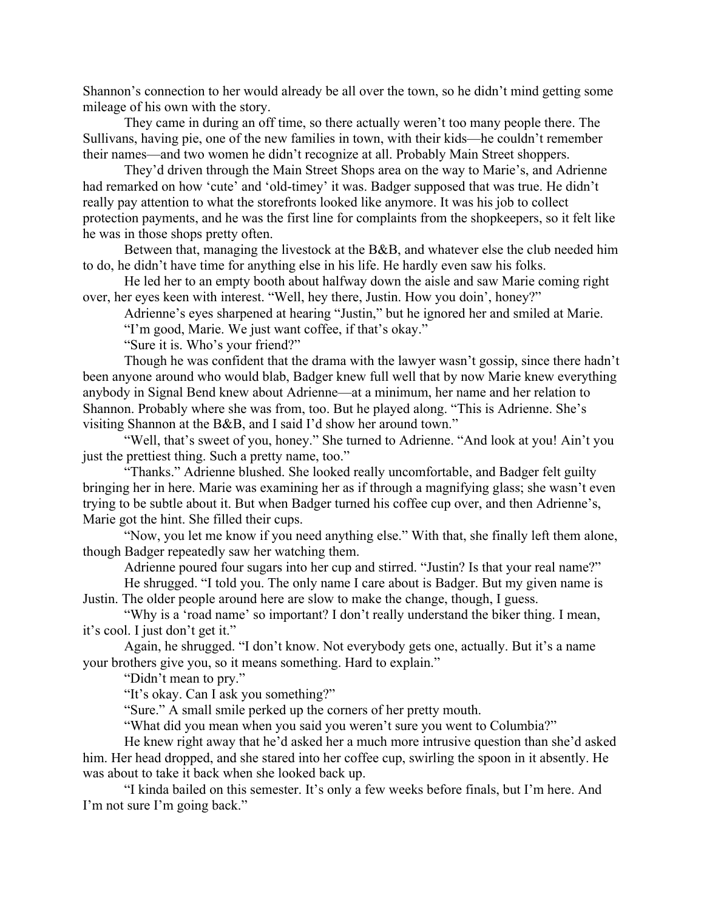Shannon's connection to her would already be all over the town, so he didn't mind getting some mileage of his own with the story.

They came in during an off time, so there actually weren't too many people there. The Sullivans, having pie, one of the new families in town, with their kids—he couldn't remember their names—and two women he didn't recognize at all. Probably Main Street shoppers.

They'd driven through the Main Street Shops area on the way to Marie's, and Adrienne had remarked on how 'cute' and 'old-timey' it was. Badger supposed that was true. He didn't really pay attention to what the storefronts looked like anymore. It was his job to collect protection payments, and he was the first line for complaints from the shopkeepers, so it felt like he was in those shops pretty often.

Between that, managing the livestock at the B&B, and whatever else the club needed him to do, he didn't have time for anything else in his life. He hardly even saw his folks.

He led her to an empty booth about halfway down the aisle and saw Marie coming right over, her eyes keen with interest. "Well, hey there, Justin. How you doin', honey?"

Adrienne's eyes sharpened at hearing "Justin," but he ignored her and smiled at Marie.

"I'm good, Marie. We just want coffee, if that's okay."

"Sure it is. Who's your friend?"

Though he was confident that the drama with the lawyer wasn't gossip, since there hadn't been anyone around who would blab, Badger knew full well that by now Marie knew everything anybody in Signal Bend knew about Adrienne—at a minimum, her name and her relation to Shannon. Probably where she was from, too. But he played along. "This is Adrienne. She's visiting Shannon at the B&B, and I said I'd show her around town."

"Well, that's sweet of you, honey." She turned to Adrienne. "And look at you! Ain't you just the prettiest thing. Such a pretty name, too."

"Thanks." Adrienne blushed. She looked really uncomfortable, and Badger felt guilty bringing her in here. Marie was examining her as if through a magnifying glass; she wasn't even trying to be subtle about it. But when Badger turned his coffee cup over, and then Adrienne's, Marie got the hint. She filled their cups.

"Now, you let me know if you need anything else." With that, she finally left them alone, though Badger repeatedly saw her watching them.

Adrienne poured four sugars into her cup and stirred. "Justin? Is that your real name?" He shrugged. "I told you. The only name I care about is Badger. But my given name is

Justin. The older people around here are slow to make the change, though, I guess.

"Why is a 'road name' so important? I don't really understand the biker thing. I mean, it's cool. I just don't get it."

Again, he shrugged. "I don't know. Not everybody gets one, actually. But it's a name your brothers give you, so it means something. Hard to explain."

"Didn't mean to pry."

"It's okay. Can I ask you something?"

"Sure." A small smile perked up the corners of her pretty mouth.

"What did you mean when you said you weren't sure you went to Columbia?"

He knew right away that he'd asked her a much more intrusive question than she'd asked him. Her head dropped, and she stared into her coffee cup, swirling the spoon in it absently. He was about to take it back when she looked back up.

"I kinda bailed on this semester. It's only a few weeks before finals, but I'm here. And I'm not sure I'm going back."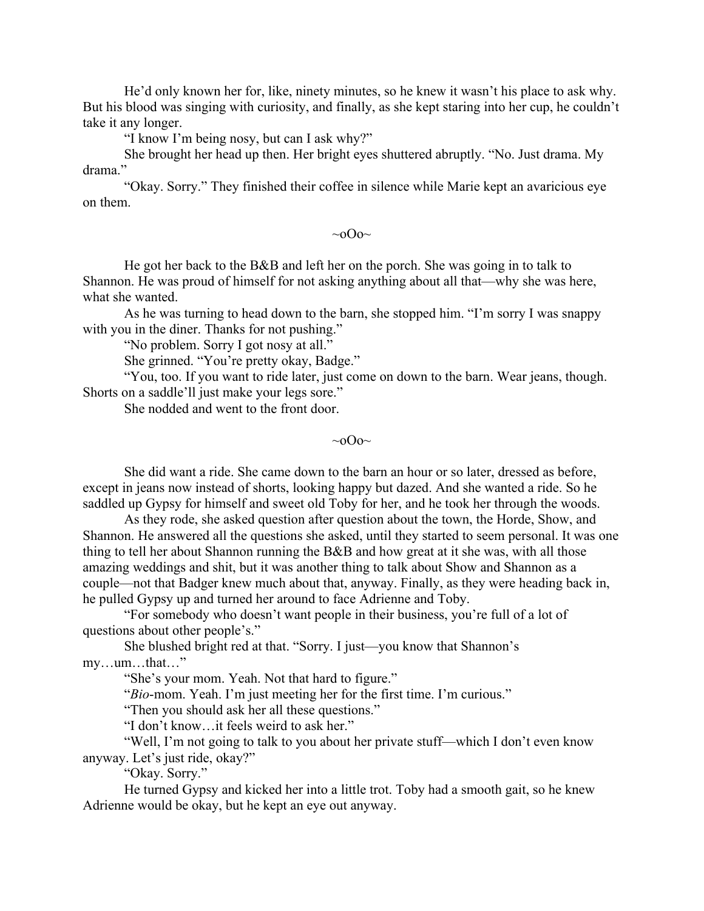He'd only known her for, like, ninety minutes, so he knew it wasn't his place to ask why. But his blood was singing with curiosity, and finally, as she kept staring into her cup, he couldn't take it any longer.

"I know I'm being nosy, but can I ask why?"

She brought her head up then. Her bright eyes shuttered abruptly. "No. Just drama. My drama."

"Okay. Sorry." They finished their coffee in silence while Marie kept an avaricious eye on them.

 $\sim 0$ 0 $\sim$ 

He got her back to the B&B and left her on the porch. She was going in to talk to Shannon. He was proud of himself for not asking anything about all that—why she was here, what she wanted.

As he was turning to head down to the barn, she stopped him. "I'm sorry I was snappy with you in the diner. Thanks for not pushing."

"No problem. Sorry I got nosy at all."

She grinned. "You're pretty okay, Badge."

"You, too. If you want to ride later, just come on down to the barn. Wear jeans, though. Shorts on a saddle'll just make your legs sore."

She nodded and went to the front door.

 $\sim 00$ o $\sim$ 

She did want a ride. She came down to the barn an hour or so later, dressed as before, except in jeans now instead of shorts, looking happy but dazed. And she wanted a ride. So he saddled up Gypsy for himself and sweet old Toby for her, and he took her through the woods.

As they rode, she asked question after question about the town, the Horde, Show, and Shannon. He answered all the questions she asked, until they started to seem personal. It was one thing to tell her about Shannon running the B&B and how great at it she was, with all those amazing weddings and shit, but it was another thing to talk about Show and Shannon as a couple—not that Badger knew much about that, anyway. Finally, as they were heading back in, he pulled Gypsy up and turned her around to face Adrienne and Toby.

"For somebody who doesn't want people in their business, you're full of a lot of questions about other people's."

She blushed bright red at that. "Sorry. I just—you know that Shannon's my…um…that…"

"She's your mom. Yeah. Not that hard to figure."

"*Bio*-mom. Yeah. I'm just meeting her for the first time. I'm curious."

"Then you should ask her all these questions."

"I don't know…it feels weird to ask her."

"Well, I'm not going to talk to you about her private stuff—which I don't even know anyway. Let's just ride, okay?"

"Okay. Sorry."

He turned Gypsy and kicked her into a little trot. Toby had a smooth gait, so he knew Adrienne would be okay, but he kept an eye out anyway.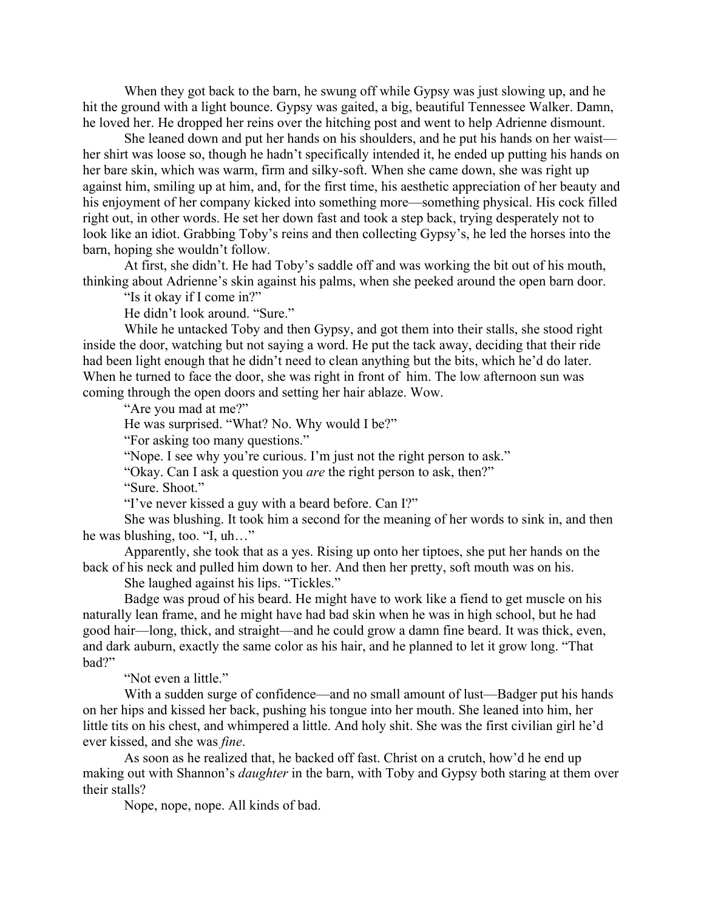When they got back to the barn, he swung off while Gypsy was just slowing up, and he hit the ground with a light bounce. Gypsy was gaited, a big, beautiful Tennessee Walker. Damn, he loved her. He dropped her reins over the hitching post and went to help Adrienne dismount.

She leaned down and put her hands on his shoulders, and he put his hands on her waist her shirt was loose so, though he hadn't specifically intended it, he ended up putting his hands on her bare skin, which was warm, firm and silky-soft. When she came down, she was right up against him, smiling up at him, and, for the first time, his aesthetic appreciation of her beauty and his enjoyment of her company kicked into something more—something physical. His cock filled right out, in other words. He set her down fast and took a step back, trying desperately not to look like an idiot. Grabbing Toby's reins and then collecting Gypsy's, he led the horses into the barn, hoping she wouldn't follow.

At first, she didn't. He had Toby's saddle off and was working the bit out of his mouth, thinking about Adrienne's skin against his palms, when she peeked around the open barn door.

"Is it okay if I come in?"

He didn't look around. "Sure."

While he untacked Toby and then Gypsy, and got them into their stalls, she stood right inside the door, watching but not saying a word. He put the tack away, deciding that their ride had been light enough that he didn't need to clean anything but the bits, which he'd do later. When he turned to face the door, she was right in front of him. The low afternoon sun was coming through the open doors and setting her hair ablaze. Wow.

"Are you mad at me?"

He was surprised. "What? No. Why would I be?"

"For asking too many questions."

"Nope. I see why you're curious. I'm just not the right person to ask."

"Okay. Can I ask a question you *are* the right person to ask, then?"

"Sure. Shoot."

"I've never kissed a guy with a beard before. Can I?"

She was blushing. It took him a second for the meaning of her words to sink in, and then he was blushing, too. "I, uh…"

Apparently, she took that as a yes. Rising up onto her tiptoes, she put her hands on the back of his neck and pulled him down to her. And then her pretty, soft mouth was on his.

She laughed against his lips. "Tickles."

Badge was proud of his beard. He might have to work like a fiend to get muscle on his naturally lean frame, and he might have had bad skin when he was in high school, but he had good hair—long, thick, and straight—and he could grow a damn fine beard. It was thick, even, and dark auburn, exactly the same color as his hair, and he planned to let it grow long. "That bad?"

"Not even a little."

With a sudden surge of confidence—and no small amount of lust—Badger put his hands on her hips and kissed her back, pushing his tongue into her mouth. She leaned into him, her little tits on his chest, and whimpered a little. And holy shit. She was the first civilian girl he'd ever kissed, and she was *fine*.

As soon as he realized that, he backed off fast. Christ on a crutch, how'd he end up making out with Shannon's *daughter* in the barn, with Toby and Gypsy both staring at them over their stalls?

Nope, nope, nope. All kinds of bad.